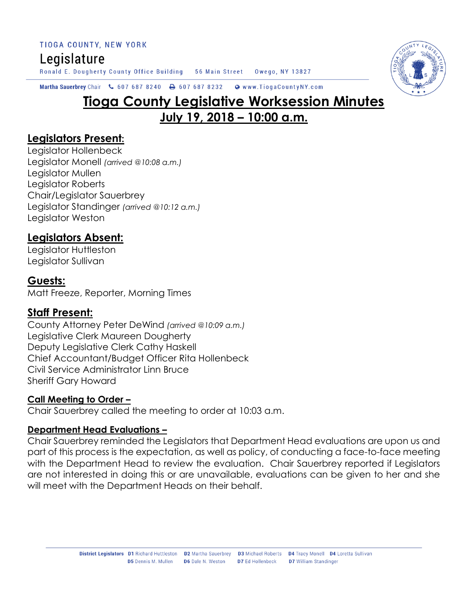# Legislature

Ronald E. Dougherty County Office Building 56 Main Street Owego, NY 13827



Martha Sauerbrey Chair & 607 687 8240 A 607 687 8232 Www.TiogaCountyNY.com

# **Tioga County Legislative Worksession Minutes July 19, 2018 – 10:00 a.m.**

#### **Legislators Present:**

Legislator Hollenbeck Legislator Monell *(arrived @10:08 a.m.)* Legislator Mullen Legislator Roberts Chair/Legislator Sauerbrey Legislator Standinger *(arrived @10:12 a.m.)* Legislator Weston

### **Legislators Absent:**

Legislator Huttleston Legislator Sullivan

#### **Guests:**

Matt Freeze, Reporter, Morning Times

#### **Staff Present:**

County Attorney Peter DeWind *(arrived @10:09 a.m.)* Legislative Clerk Maureen Dougherty Deputy Legislative Clerk Cathy Haskell Chief Accountant/Budget Officer Rita Hollenbeck Civil Service Administrator Linn Bruce Sheriff Gary Howard

#### **Call Meeting to Order –**

Chair Sauerbrey called the meeting to order at 10:03 a.m.

#### **Department Head Evaluations –**

Chair Sauerbrey reminded the Legislators that Department Head evaluations are upon us and part of this process is the expectation, as well as policy, of conducting a face-to-face meeting with the Department Head to review the evaluation. Chair Sauerbrey reported if Legislators are not interested in doing this or are unavailable, evaluations can be given to her and she will meet with the Department Heads on their behalf.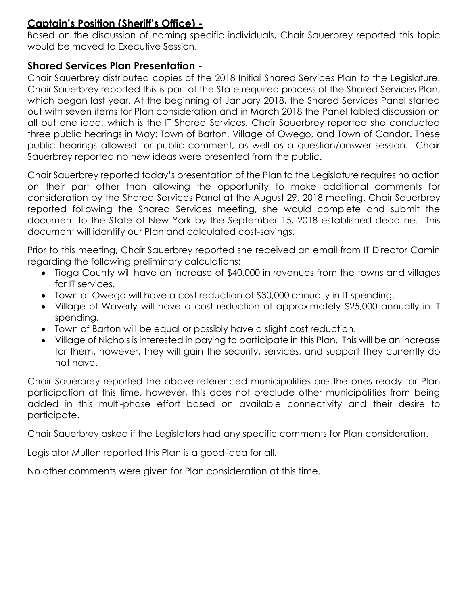#### **Captain's Position (Sheriff's Office) -**

Based on the discussion of naming specific individuals, Chair Sauerbrey reported this topic would be moved to Executive Session.

#### **Shared Services Plan Presentation -**

Chair Sauerbrey distributed copies of the 2018 Initial Shared Services Plan to the Legislature. Chair Sauerbrey reported this is part of the State required process of the Shared Services Plan, which began last year. At the beginning of January 2018, the Shared Services Panel started out with seven items for Plan consideration and in March 2018 the Panel tabled discussion on all but one idea, which is the IT Shared Services. Chair Sauerbrey reported she conducted three public hearings in May: Town of Barton, Village of Owego, and Town of Candor. These public hearings allowed for public comment, as well as a question/answer session. Chair Sauerbrey reported no new ideas were presented from the public.

Chair Sauerbrey reported today's presentation of the Plan to the Legislature requires no action on their part other than allowing the opportunity to make additional comments for consideration by the Shared Services Panel at the August 29, 2018 meeting. Chair Sauerbrey reported following the Shared Services meeting, she would complete and submit the document to the State of New York by the September 15, 2018 established deadline. This document will identify our Plan and calculated cost-savings.

Prior to this meeting, Chair Sauerbrey reported she received an email from IT Director Camin regarding the following preliminary calculations:

- Tioga County will have an increase of \$40,000 in revenues from the towns and villages for IT services.
- Town of Owego will have a cost reduction of \$30,000 annually in IT spending.
- Village of Waverly will have a cost reduction of approximately \$25,000 annually in IT spending.
- Town of Barton will be equal or possibly have a slight cost reduction.
- Village of Nichols is interested in paying to participate in this Plan. This will be an increase for them, however, they will gain the security, services, and support they currently do not have.

Chair Sauerbrey reported the above-referenced municipalities are the ones ready for Plan participation at this time, however, this does not preclude other municipalities from being added in this multi-phase effort based on available connectivity and their desire to participate.

Chair Sauerbrey asked if the Legislators had any specific comments for Plan consideration.

Legislator Mullen reported this Plan is a good idea for all.

No other comments were given for Plan consideration at this time.